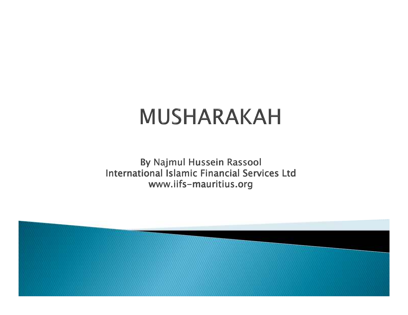# **MUSHARAKAH**

By Najmul Hussein Rassool International Islamic Financial Services Ltdwww.iifs-mauritius.or<mark>g</mark>

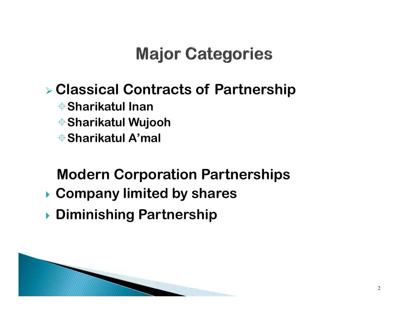## **Major Categories**

# **Classical Contracts of Partnership**

- -**Sharikatul Inan**
- -**Sharikatul Wujooh**
- -**Sharikatul A'mal**

#### **Modern Corporation Partnerships**

- **Company limited by shares**
- **Diminishing Partnership**

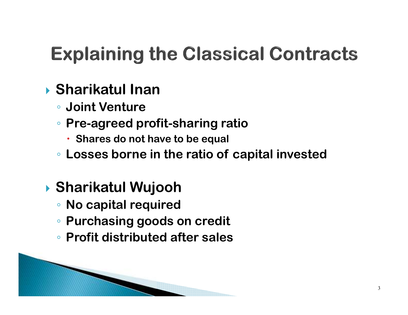# **Explaining the Classical Contracts**

## **Sharikatul Inan**

- **Joint Venture**
- **Pre-agreed profit-sharing ratio**
	- **Shares do not have to be equal**
- ◦**Losses borne in the ratio of capital invested**

### **Sharikatul Wujooh**

- **No capital required**
- **Purchasing goods on credit**
- **Profit distributed after sales**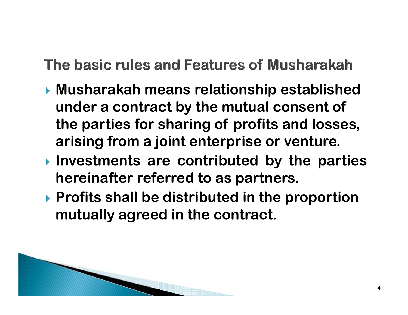- **Musharakah means relationship established under a contract by the mutual consent of the parties for sharing of profits and losses, arising from a joint enterprise or venture.**
- **Investments are contributed by the partieshereinafter referred to as partners.**
- **Profits shall be distributed in the proportion mutually agreed in the contract.**

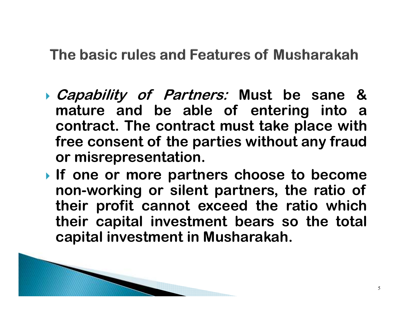- **Capability of Partners: Must be sane &mature and be able of entering into <sup>a</sup> contract. The contract must take place with free consent of the parties without any fraudor misrepresentation.**
- **If one or more partners choose to become non-working or silent partners, the ratio of their profit cannot exceed the ratio which their capital investment bears so the total capital investment in Musharakah.**

5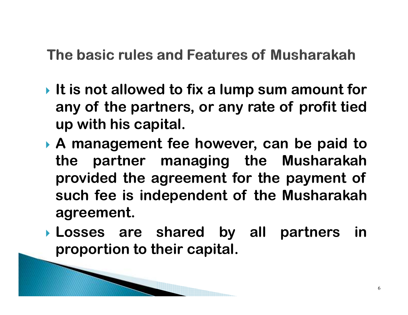- **It is not allowed to fix <sup>a</sup> lump sum amount for any of the partners, or any rate of profit tiedup with his capital.**
- **<sup>A</sup> management fee however, can be paid to the partner managing the Musharakah provided the agreement for the payment of such fee is independent of the Musharakahagreement.**
- **Losses are shared by all partners inproportion to their capital.**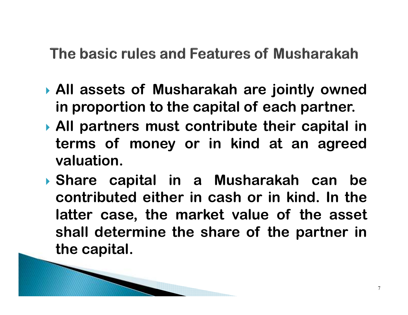- **All assets of Musharakah are jointly ownedin proportion to the capital of each partner.**
- **All partners must contribute their capital in terms of money or in kind at an agreedvaluation.**
- **Share capital in <sup>a</sup> Musharakah can be contributed either in cash or in kind. In the latter case, the market value of the asset shall determine the share of the partner inthe capital.**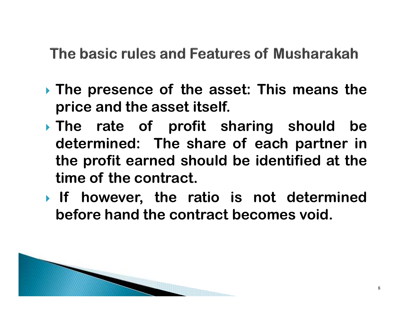- **The presence of the asset: This means theprice and the asset itself.**
- **The rate of profit sharing should be determined: The share of each partner in the profit earned should be identified at thetime of the contract.**
- **If however, the ratio is not determinedbefore hand the contract becomes void.**

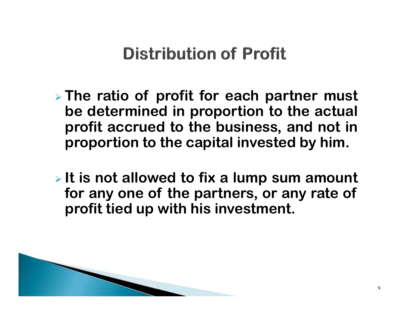### **Distribution of Profit**

- **The ratio of profit for each partner must be determined in proportion to the actual profit accrued to the business, and not inproportion to the capital invested by him.**
- **It is not allowed to fix <sup>a</sup> lump sum amount for any one of the partners, or any rate of profit tied up with his investment.**

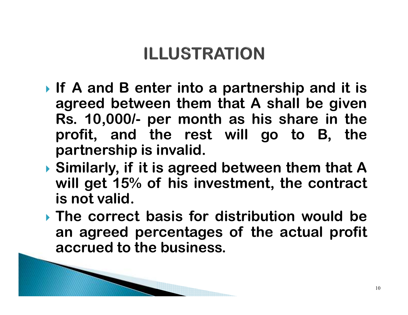# **ILLUSTRATION**

- **If <sup>A</sup> and <sup>B</sup> enter into <sup>a</sup> partnership and it is agreed between them that <sup>A</sup> shall be given Rs. 10,000/- per month as his share in the profit, and the rest will go to B, thepartnership is invalid.**
- **Similarly, if it is agreed between them that <sup>A</sup>will get 15% of his investment, the contract is not valid.**
- **The correct basis for distribution would be an agreed percentages of the actual profit accrued to the business.**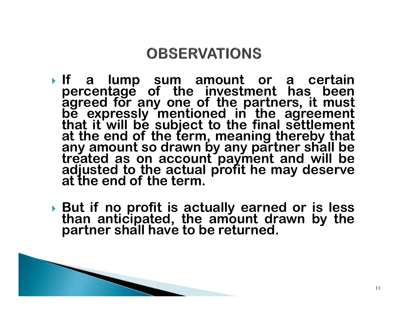#### **OBSERVATIONS**

- **If <sup>a</sup> lump sum amount or <sup>a</sup> certain percentage of the investment has been**agreed for any one of the partners, it must<br>be expressly mentioned in the agreement<br>that it will be subject to the final settlement<br>at the end of the term, meaning thereby that<br>any amount so drawn by any partner shall be<br>t **treated as on account payment and will be adjusted to the actual profit he may deserveat the end of the term.**
- **But if no profit is actually earned or is less than anticipated, the amount drawn by thepartner shall have to be returned.**

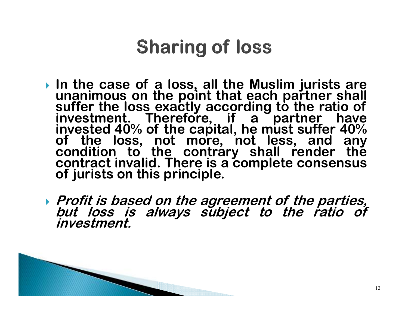# **Sharing of loss**

- **In the case of <sup>a</sup> loss, all the Muslim jurists are**unanimous on the point that each partner shall<br>suffer the loss exactly according to the ratio of<br>investment. Therefore, if a partner have<br>invested 40% of the capital he must suffer 40% **investment.** Therefore, if a partner have invested 40% of the capital, he must suffer 40% **of the loss, not more, not less, and any condition to the contrary shall render the contract invalid. There is <sup>a</sup> complete consensusof jurists on this principle.**
- Profit is based on the agreement of the parties,<br>but loss is always subject to the ratio of<br>investment.

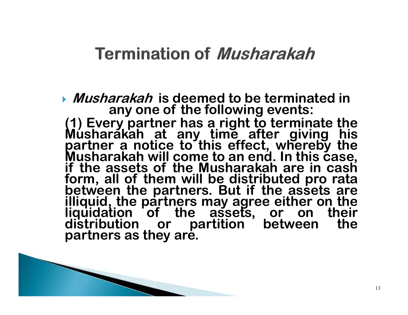#### **Termination of Musharakah**

*Musharakah* **is deemed to be terminated in <b>Musharakah** is deemed to be terminated in **any one of the following events:**

 **(1) Every partner has <sup>a</sup> right to terminate the Musharakah at any time after giving his partner <sup>a</sup> notice to this effect, whereby the**Musharakah will come to an end. In this case,<br>if the assets of the Musharakah are in cash **form, all of them will be distributed pro rata between the partners. But if the assets are illiquid, the partners may agree either on the**liquidation of the assets, or on their<br>distribution or partition between the<br>partnors.gs.they.gro **partners as they are.**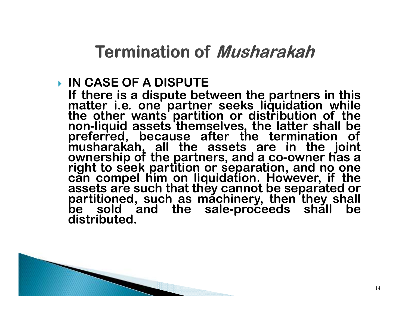**Termination of Musharakah** 

#### **IN CASE OF <sup>A</sup> DISPUTE**

**If there is <sup>a</sup> dispute between the partners in this matter i.e. one partner seeks liquidation while the other wants partition or distribution of the non-liquid assets themselves, the latter shall be**preferred, because after the termination of<br>musharakah, all the assets are in the joint<br>ownership of the partners, and a co-owner has a<br>right to sook partition or conoration and no one. **right to seek partition or separation, and no one can compel him on liquidation. However, if the**assets are such that they cannot be separated or<br>partitioned, such as machinery, then they shall<br>be sold and the sale-proceeds shall be<br>distributed **distributed.**

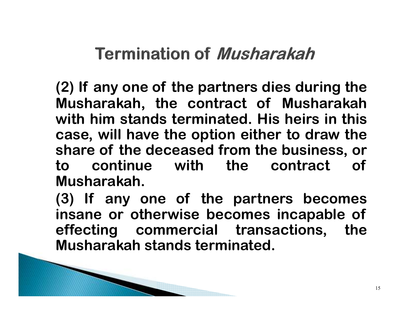### **Termination of Musharakah**

**(2) If any one of the partners dies during the Musharakah, the contract of Musharakah with him stands terminated. His heirs in this case, will have the option either to draw the share of the deceased from the business, or to continue with the contract of Musharakah.**

**(3) If any one of the partners becomes insane or otherwise becomes incapable of effecting commercial transactions, theMusharakah stands terminated.**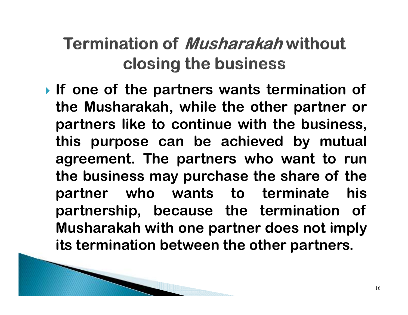## **Termination of** *Musharakah* **without** closing the business

 **If one of the partners wants termination of the Musharakah, while the other partner or partners like to continue with the business, this purpose can be achieved by mutual agreement. The partners who want to run the business may purchase the share of the**his **partner who wants to terminate his partnership, because the termination of Musharakah with one partner does not implyits termination between the other partners.**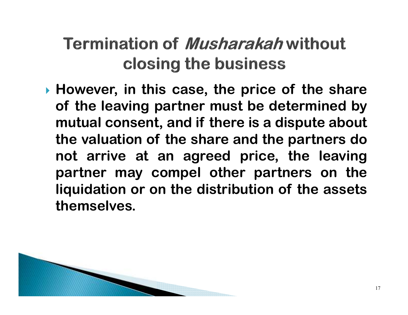## **Termination of Musharakah without** closing the business

 **However, in this case, the price of the share of the leaving partner must be determined by mutual consent, and if there is <sup>a</sup> dispute about the valuation of the share and the partners do not arrive at an agreed price, the leaving partner may compel other partners on the liquidation or on the distribution of the assetsthemselves.**

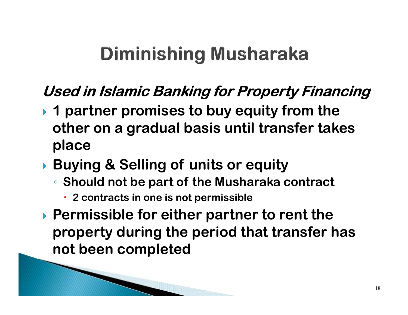# **Diminishing Musharaka**

### **Used in Islamic Banking for Property Financing**

- **1 partner promises to buy equity from the other on a gradual basis until transfer takes place**
- **Buying & Selling of units or equity** 
	- **Should not be part of the Musharaka contract** 
		- **2 contracts in one is not permissible**
- **Permissible for either partner to rent the property during the period that transfer has not been completed**